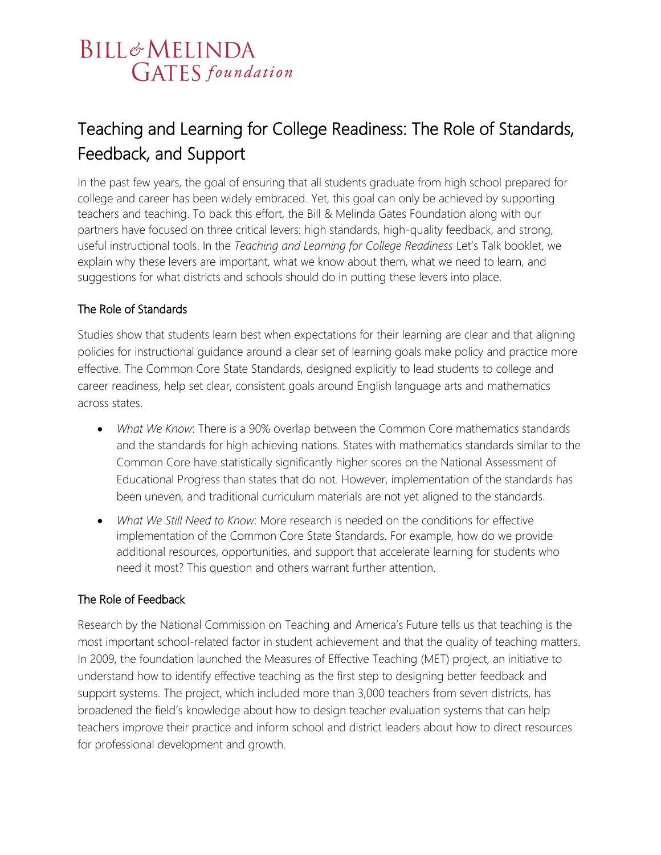# **BILL&MELINDA GATES** foundation

## Teaching and Learning for College Readiness: The Role of Standards, Feedback, and Support

In the past few years, the goal of ensuring that all students graduate from high school prepared for college and career has been widely embraced. Yet, this goal can only be achieved by supporting teachers and teaching. To back this effort, the Bill & Melinda Gates Foundation along with our partners have focused on three critical levers: high standards, high-quality feedback, and strong, useful instructional tools. In the *Teaching and Learning for College Readiness* Let's Talk booklet, we explain why these levers are important, what we know about them, what we need to learn, and suggestions for what districts and schools should do in putting these levers into place.

#### The Role of Standards

Studies show that students learn best when expectations for their learning are clear and that aligning policies for instructional guidance around a clear set of learning goals make policy and practice more effective. The Common Core State Standards, designed explicitly to lead students to college and career readiness, help set clear, consistent goals around English language arts and mathematics across states.

- *What We Know*: There is a 90% overlap between the Common Core mathematics standards and the standards for high achieving nations. States with mathematics standards similar to the Common Core have statistically significantly higher scores on the National Assessment of Educational Progress than states that do not. However, implementation of the standards has been uneven, and traditional curriculum materials are not yet aligned to the standards.
- *What We Still Need to Know*: More research is needed on the conditions for effective implementation of the Common Core State Standards. For example, how do we provide additional resources, opportunities, and support that accelerate learning for students who need it most? This question and others warrant further attention.

#### The Role of Feedback

Research by the National Commission on Teaching and America's Future tells us that teaching is the most important school-related factor in student achievement and that the quality of teaching matters. In 2009, the foundation launched the Measures of Effective Teaching (MET) project, an initiative to understand how to identify effective teaching as the first step to designing better feedback and support systems. The project, which included more than 3,000 teachers from seven districts, has broadened the field's knowledge about how to design teacher evaluation systems that can help teachers improve their practice and inform school and district leaders about how to direct resources for professional development and growth.